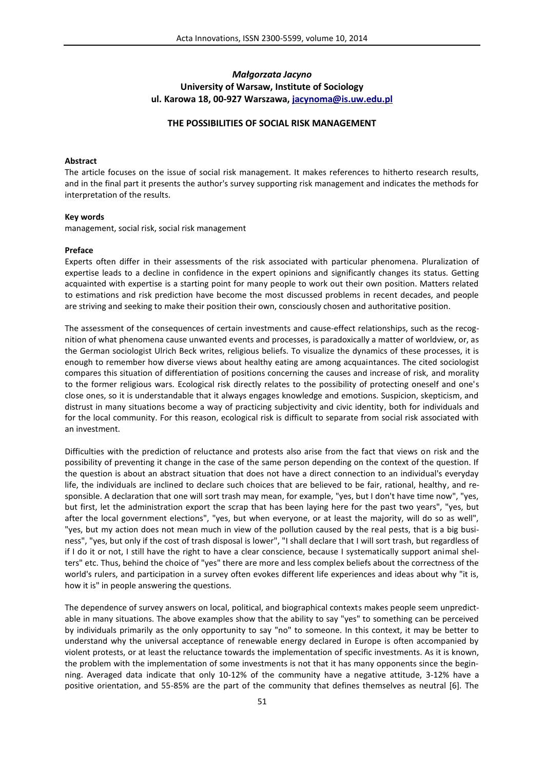# *Małgorzata Jacyno* **University of Warsaw, Institute of Sociology ul. Karowa 18, 00-927 Warszawa, jacynoma@is.uw.edu.pl**

#### **THE POSSIBILITIES OF SOCIAL RISK MANAGEMENT**

#### **Abstract**

The article focuses on the issue of social risk management. It makes references to hitherto research results, and in the final part it presents the author's survey supporting risk management and indicates the methods for interpretation of the results.

#### **Key words**

management, social risk, social risk management

#### **Preface**

Experts often differ in their assessments of the risk associated with particular phenomena. Pluralization of expertise leads to a decline in confidence in the expert opinions and significantly changes its status. Getting acquainted with expertise is a starting point for many people to work out their own position. Matters related to estimations and risk prediction have become the most discussed problems in recent decades, and people are striving and seeking to make their position their own, consciously chosen and authoritative position.

The assessment of the consequences of certain investments and cause-effect relationships, such as the recognition of what phenomena cause unwanted events and processes, is paradoxically a matter of worldview, or, as the German sociologist Ulrich Beck writes, religious beliefs. To visualize the dynamics of these processes, it is enough to remember how diverse views about healthy eating are among acquaintances. The cited sociologist compares this situation of differentiation of positions concerning the causes and increase of risk, and morality to the former religious wars. Ecological risk directly relates to the possibility of protecting oneself and one's close ones, so it is understandable that it always engages knowledge and emotions. Suspicion, skepticism, and distrust in many situations become a way of practicing subjectivity and civic identity, both for individuals and for the local community. For this reason, ecological risk is difficult to separate from social risk associated with an investment.

Difficulties with the prediction of reluctance and protests also arise from the fact that views on risk and the possibility of preventing it change in the case of the same person depending on the context of the question. If the question is about an abstract situation that does not have a direct connection to an individual's everyday life, the individuals are inclined to declare such choices that are believed to be fair, rational, healthy, and responsible. A declaration that one will sort trash may mean, for example, "yes, but I don't have time now", "yes, but first, let the administration export the scrap that has been laying here for the past two years", "yes, but after the local government elections", "yes, but when everyone, or at least the majority, will do so as well", "yes, but my action does not mean much in view of the pollution caused by the real pests, that is a big business", "yes, but only if the cost of trash disposal is lower", "I shall declare that I will sort trash, but regardless of if I do it or not, I still have the right to have a clear conscience, because I systematically support animal shelters" etc. Thus, behind the choice of "yes" there are more and less complex beliefs about the correctness of the world's rulers, and participation in a survey often evokes different life experiences and ideas about why "it is, how it is" in people answering the questions.

The dependence of survey answers on local, political, and biographical contexts makes people seem unpredictable in many situations. The above examples show that the ability to say "yes" to something can be perceived by individuals primarily as the only opportunity to say "no" to someone. In this context, it may be better to understand why the universal acceptance of renewable energy declared in Europe is often accompanied by violent protests, or at least the reluctance towards the implementation of specific investments. As it is known, the problem with the implementation of some investments is not that it has many opponents since the beginning. Averaged data indicate that only 10-12% of the community have a negative attitude, 3-12% have a positive orientation, and 55-85% are the part of the community that defines themselves as neutral [6]. The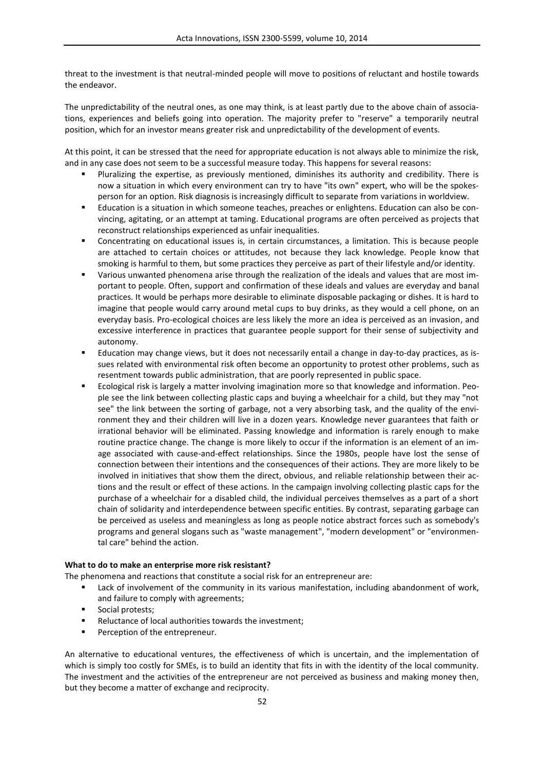threat to the investment is that neutral-minded people will move to positions of reluctant and hostile towards the endeavor.

The unpredictability of the neutral ones, as one may think, is at least partly due to the above chain of associations, experiences and beliefs going into operation. The majority prefer to "reserve" a temporarily neutral position, which for an investor means greater risk and unpredictability of the development of events.

At this point, it can be stressed that the need for appropriate education is not always able to minimize the risk, and in any case does not seem to be a successful measure today. This happens for several reasons:

- Pluralizing the expertise, as previously mentioned, diminishes its authority and credibility. There is now a situation in which every environment can try to have "its own" expert, who will be the spokesperson for an option. Risk diagnosis is increasingly difficult to separate from variations in worldview.
- Education is a situation in which someone teaches, preaches or enlightens. Education can also be convincing, agitating, or an attempt at taming. Educational programs are often perceived as projects that reconstruct relationships experienced as unfair inequalities.
- Concentrating on educational issues is, in certain circumstances, a limitation. This is because people are attached to certain choices or attitudes, not because they lack knowledge. People know that smoking is harmful to them, but some practices they perceive as part of their lifestyle and/or identity.
- Various unwanted phenomena arise through the realization of the ideals and values that are most important to people. Often, support and confirmation of these ideals and values are everyday and banal practices. It would be perhaps more desirable to eliminate disposable packaging or dishes. It is hard to imagine that people would carry around metal cups to buy drinks, as they would a cell phone, on an everyday basis. Pro-ecological choices are less likely the more an idea is perceived as an invasion, and excessive interference in practices that guarantee people support for their sense of subjectivity and autonomy.
- Education may change views, but it does not necessarily entail a change in day-to-day practices, as issues related with environmental risk often become an opportunity to protest other problems, such as resentment towards public administration, that are poorly represented in public space.
- Ecological risk is largely a matter involving imagination more so that knowledge and information. People see the link between collecting plastic caps and buying a wheelchair for a child, but they may "not see" the link between the sorting of garbage, not a very absorbing task, and the quality of the environment they and their children will live in a dozen years. Knowledge never guarantees that faith or irrational behavior will be eliminated. Passing knowledge and information is rarely enough to make routine practice change. The change is more likely to occur if the information is an element of an image associated with cause-and-effect relationships. Since the 1980s, people have lost the sense of connection between their intentions and the consequences of their actions. They are more likely to be involved in initiatives that show them the direct, obvious, and reliable relationship between their actions and the result or effect of these actions. In the campaign involving collecting plastic caps for the purchase of a wheelchair for a disabled child, the individual perceives themselves as a part of a short chain of solidarity and interdependence between specific entities. By contrast, separating garbage can be perceived as useless and meaningless as long as people notice abstract forces such as somebody's programs and general slogans such as "waste management", "modern development" or "environmental care" behind the action.

### **What to do to make an enterprise more risk resistant?**

The phenomena and reactions that constitute a social risk for an entrepreneur are:

- Lack of involvement of the community in its various manifestation, including abandonment of work, and failure to comply with agreements;
- **Social protests;**
- **Reluctance of local authorities towards the investment;**
- Perception of the entrepreneur.

An alternative to educational ventures, the effectiveness of which is uncertain, and the implementation of which is simply too costly for SMEs, is to build an identity that fits in with the identity of the local community. The investment and the activities of the entrepreneur are not perceived as business and making money then, but they become a matter of exchange and reciprocity.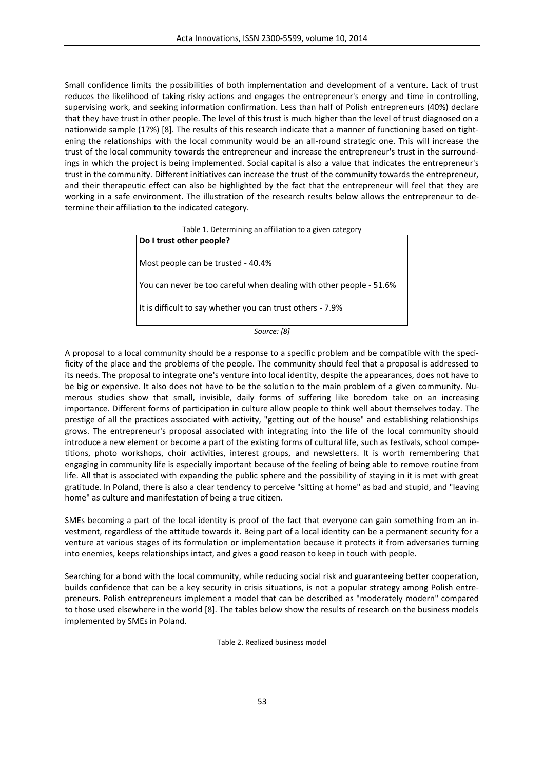Small confidence limits the possibilities of both implementation and development of a venture. Lack of trust reduces the likelihood of taking risky actions and engages the entrepreneur's energy and time in controlling, supervising work, and seeking information confirmation. Less than half of Polish entrepreneurs (40%) declare that they have trust in other people. The level of this trust is much higher than the level of trust diagnosed on a nationwide sample (17%) [8]. The results of this research indicate that a manner of functioning based on tightening the relationships with the local community would be an all-round strategic one. This will increase the trust of the local community towards the entrepreneur and increase the entrepreneur's trust in the surroundings in which the project is being implemented. Social capital is also a value that indicates the entrepreneur's trust in the community. Different initiatives can increase the trust of the community towards the entrepreneur, and their therapeutic effect can also be highlighted by the fact that the entrepreneur will feel that they are working in a safe environment. The illustration of the research results below allows the entrepreneur to determine their affiliation to the indicated category.

Table 1. Determining an affiliation to a given category

**Do I trust other people?** Most people can be trusted - 40.4% You can never be too careful when dealing with other people - 51.6% It is difficult to say whether you can trust others - 7.9%

*Source: [8]*

A proposal to a local community should be a response to a specific problem and be compatible with the specificity of the place and the problems of the people. The community should feel that a proposal is addressed to its needs. The proposal to integrate one's venture into local identity, despite the appearances, does not have to be big or expensive. It also does not have to be the solution to the main problem of a given community. Numerous studies show that small, invisible, daily forms of suffering like boredom take on an increasing importance. Different forms of participation in culture allow people to think well about themselves today. The prestige of all the practices associated with activity, "getting out of the house" and establishing relationships grows. The entrepreneur's proposal associated with integrating into the life of the local community should introduce a new element or become a part of the existing forms of cultural life, such as festivals, school competitions, photo workshops, choir activities, interest groups, and newsletters. It is worth remembering that engaging in community life is especially important because of the feeling of being able to remove routine from life. All that is associated with expanding the public sphere and the possibility of staying in it is met with great gratitude. In Poland, there is also a clear tendency to perceive "sitting at home" as bad and stupid, and "leaving home" as culture and manifestation of being a true citizen.

SMEs becoming a part of the local identity is proof of the fact that everyone can gain something from an investment, regardless of the attitude towards it. Being part of a local identity can be a permanent security for a venture at various stages of its formulation or implementation because it protects it from adversaries turning into enemies, keeps relationships intact, and gives a good reason to keep in touch with people.

Searching for a bond with the local community, while reducing social risk and guaranteeing better cooperation, builds confidence that can be a key security in crisis situations, is not a popular strategy among Polish entrepreneurs. Polish entrepreneurs implement a model that can be described as "moderately modern" compared to those used elsewhere in the world [8]. The tables below show the results of research on the business models implemented by SMEs in Poland.

Table 2. Realized business model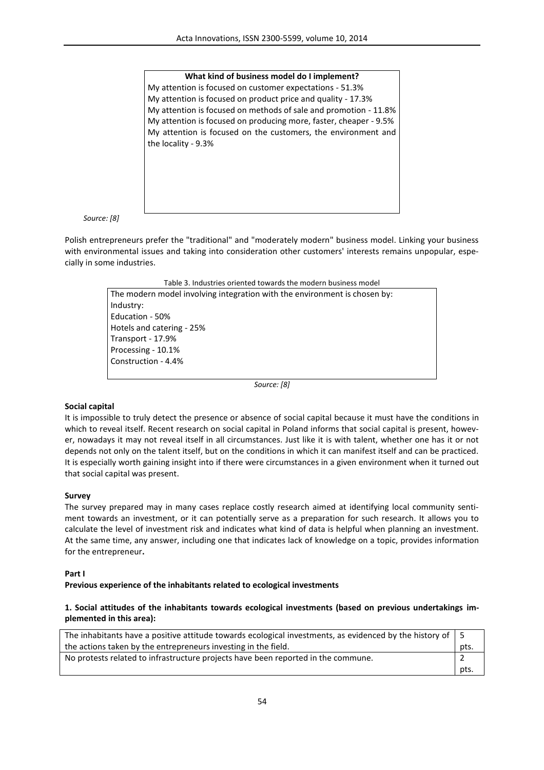#### **What kind of business model do I implement?**

My attention is focused on customer expectations - 51.3% My attention is focused on product price and quality - 17.3% My attention is focused on methods of sale and promotion - 11.8% My attention is focused on producing more, faster, cheaper - 9.5% My attention is focused on the customers, the environment and the locality - 9.3%

*Source: [8]*

Polish entrepreneurs prefer the "traditional" and "moderately modern" business model. Linking your business with environmental issues and taking into consideration other customers' interests remains unpopular, especially in some industries.

Table 3. Industries oriented towards the modern business model

The modern model involving integration with the environment is chosen by: Industry: Education - 50% Hotels and catering - 25% Transport - 17.9% Processing - 10.1% Construction - 4.4%

*Source: [8]*

#### **Social capital**

It is impossible to truly detect the presence or absence of social capital because it must have the conditions in which to reveal itself. Recent research on social capital in Poland informs that social capital is present, however, nowadays it may not reveal itself in all circumstances. Just like it is with talent, whether one has it or not depends not only on the talent itself, but on the conditions in which it can manifest itself and can be practiced. It is especially worth gaining insight into if there were circumstances in a given environment when it turned out that social capital was present.

#### **Survey**

The survey prepared may in many cases replace costly research aimed at identifying local community sentiment towards an investment, or it can potentially serve as a preparation for such research. It allows you to calculate the level of investment risk and indicates what kind of data is helpful when planning an investment. At the same time, any answer, including one that indicates lack of knowledge on a topic, provides information for the entrepreneur**.** 

#### **Part I**

#### **Previous experience of the inhabitants related to ecological investments**

### **1. Social attitudes of the inhabitants towards ecological investments (based on previous undertakings implemented in this area):**

| The inhabitants have a positive attitude towards ecological investments, as evidenced by the history of $\vert 5 \rangle$ |          |
|---------------------------------------------------------------------------------------------------------------------------|----------|
| the actions taken by the entrepreneurs investing in the field.                                                            | pts.     |
| No protests related to infrastructure projects have been reported in the commune.                                         |          |
|                                                                                                                           | $·$ pts. |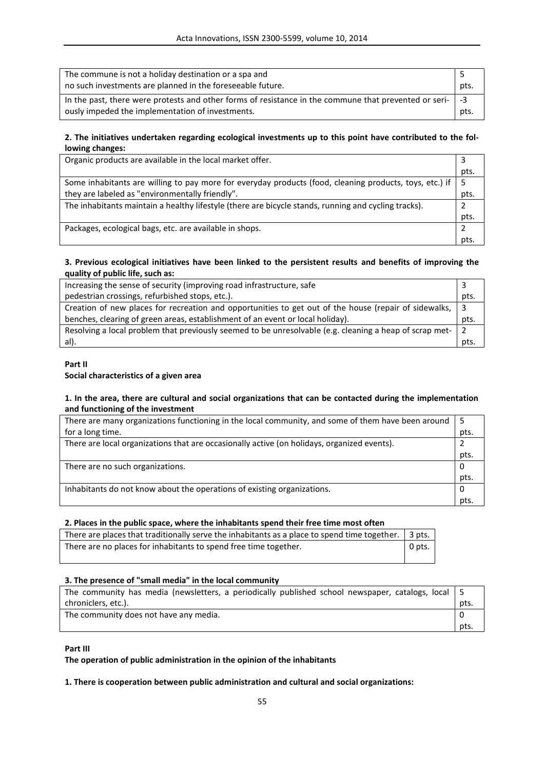| The commune is not a holiday destination or a spa and<br>no such investments are planned in the foreseeable future.                                            | pts. |
|----------------------------------------------------------------------------------------------------------------------------------------------------------------|------|
| In the past, there were protests and other forms of resistance in the commune that prevented or seri-   -3<br>ously impeded the implementation of investments. | pts. |

## **2. The initiatives undertaken regarding ecological investments up to this point have contributed to the following changes:**

| Organic products are available in the local market offer.                                               |      |
|---------------------------------------------------------------------------------------------------------|------|
|                                                                                                         | pts. |
| Some inhabitants are willing to pay more for everyday products (food, cleaning products, toys, etc.) if |      |
| they are labeled as "environmentally friendly".                                                         | pts. |
| The inhabitants maintain a healthy lifestyle (there are bicycle stands, running and cycling tracks).    |      |
|                                                                                                         | pts. |
| Packages, ecological bags, etc. are available in shops.                                                 |      |
|                                                                                                         | nts  |

## **3. Previous ecological initiatives have been linked to the persistent results and benefits of improving the quality of public life, such as:**

| Increasing the sense of security (improving road infrastructure, safe                                     |      |
|-----------------------------------------------------------------------------------------------------------|------|
| pedestrian crossings, refurbished stops, etc.).                                                           | pts. |
| Creation of new places for recreation and opportunities to get out of the house (repair of sidewalks,   3 |      |
| benches, clearing of green areas, establishment of an event or local holiday).                            | pts. |
| Resolving a local problem that previously seemed to be unresolvable (e.g. cleaning a heap of scrap met- 2 |      |
| al).                                                                                                      | pts. |

### **Part II Social characteristics of a given area**

### **1. In the area, there are cultural and social organizations that can be contacted during the implementation and functioning of the investment**

| There are many organizations functioning in the local community, and some of them have been around |      |
|----------------------------------------------------------------------------------------------------|------|
| for a long time.                                                                                   | pts. |
| There are local organizations that are occasionally active (on holidays, organized events).        |      |
|                                                                                                    | pts. |
| There are no such organizations.                                                                   |      |
|                                                                                                    | pts. |
| Inhabitants do not know about the operations of existing organizations.                            |      |
|                                                                                                    | nts  |

# **2. Places in the public space, where the inhabitants spend their free time most often**

| There are places that traditionally serve the inhabitants as a place to spend time together.   3 pts. |        |
|-------------------------------------------------------------------------------------------------------|--------|
| There are no places for inhabitants to spend free time together.                                      | 0 pts. |

# **3. The presence of "small media" in the local community**

| The community has media (newsletters, a periodically published school newspaper, catalogs, local   5 |      |
|------------------------------------------------------------------------------------------------------|------|
| chroniclers, etc.).                                                                                  | pts. |
| The community does not have any media.                                                               |      |
|                                                                                                      | pts. |

**Part III**

**The operation of public administration in the opinion of the inhabitants**

### **1. There is cooperation between public administration and cultural and social organizations:**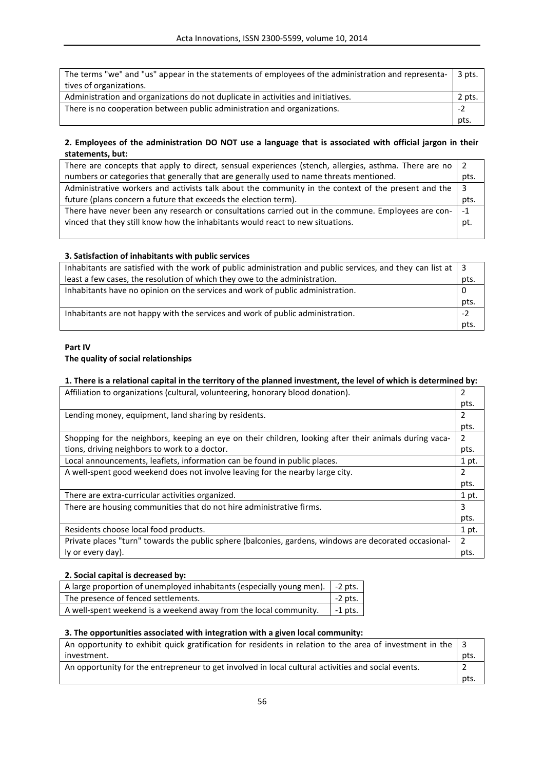| The terms "we" and "us" appear in the statements of employees of the administration and representa-<br>tives of organizations. | 3 pts. |
|--------------------------------------------------------------------------------------------------------------------------------|--------|
| Administration and organizations do not duplicate in activities and initiatives.                                               | 2 pts. |
| There is no cooperation between public administration and organizations.                                                       | -7     |
|                                                                                                                                | pts.   |

## **2. Employees of the administration DO NOT use a language that is associated with official jargon in their statements, but:**

| There are concepts that apply to direct, sensual experiences (stench, allergies, asthma. There are no |      |
|-------------------------------------------------------------------------------------------------------|------|
| numbers or categories that generally that are generally used to name threats mentioned.               | pts. |
| Administrative workers and activists talk about the community in the context of the present and the   |      |
| future (plans concern a future that exceeds the election term).                                       | pts. |
| There have never been any research or consultations carried out in the commune. Employees are con-    | $-1$ |
| vinced that they still know how the inhabitants would react to new situations.                        | pt.  |
|                                                                                                       |      |

### **3. Satisfaction of inhabitants with public services**

| Inhabitants are satisfied with the work of public administration and public services, and they can list at $\vert 3 \rangle$ |      |
|------------------------------------------------------------------------------------------------------------------------------|------|
| least a few cases, the resolution of which they owe to the administration.                                                   | pts. |
| Inhabitants have no opinion on the services and work of public administration.                                               |      |
|                                                                                                                              | pts. |
| Inhabitants are not happy with the services and work of public administration.                                               |      |
|                                                                                                                              | pts. |

# **Part IV**

## **The quality of social relationships**

## **1. There is a relational capital in the territory of the planned investment, the level of which is determined by:**

| Affiliation to organizations (cultural, volunteering, honorary blood donation).                        |               |
|--------------------------------------------------------------------------------------------------------|---------------|
|                                                                                                        | pts.          |
| Lending money, equipment, land sharing by residents.                                                   |               |
|                                                                                                        | pts.          |
| Shopping for the neighbors, keeping an eye on their children, looking after their animals during vaca- | 2             |
| tions, driving neighbors to work to a doctor.                                                          | pts.          |
| Local announcements, leaflets, information can be found in public places.                              | 1 pt.         |
| A well-spent good weekend does not involve leaving for the nearby large city.                          |               |
|                                                                                                        | pts.          |
| There are extra-curricular activities organized.                                                       | 1 pt.         |
| There are housing communities that do not hire administrative firms.                                   | 3             |
|                                                                                                        | pts.          |
| Residents choose local food products.                                                                  | 1 pt.         |
| Private places "turn" towards the public sphere (balconies, gardens, windows are decorated occasional- | $\mathcal{P}$ |
| ly or every day).                                                                                      | pts.          |

## **2. Social capital is decreased by:**

| A large proportion of unemployed inhabitants (especially young men). $\vert$ -2 pts. |           |
|--------------------------------------------------------------------------------------|-----------|
| The presence of fenced settlements.                                                  | $-2$ pts. |
| A well-spent weekend is a weekend away from the local community.                     | $-1$ pts. |

## **3. The opportunities associated with integration with a given local community:**

| An opportunity to exhibit quick gratification for residents in relation to the area of investment in the |      |
|----------------------------------------------------------------------------------------------------------|------|
| investment.                                                                                              | pts. |
| An opportunity for the entrepreneur to get involved in local cultural activities and social events.      |      |
|                                                                                                          | pts. |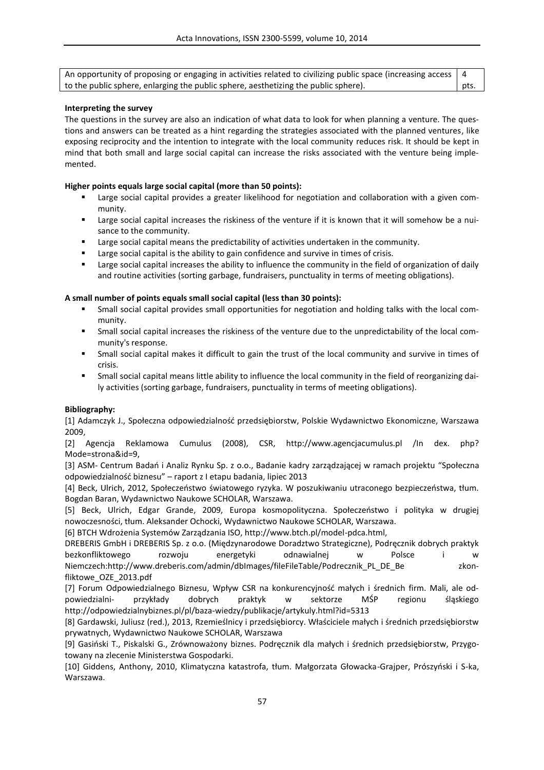An opportunity of proposing or engaging in activities related to civilizing public space (increasing access to the public sphere, enlarging the public sphere, aesthetizing the public sphere). 4 pts.

### **Interpreting the survey**

The questions in the survey are also an indication of what data to look for when planning a venture. The questions and answers can be treated as a hint regarding the strategies associated with the planned ventures, like exposing reciprocity and the intention to integrate with the local community reduces risk. It should be kept in mind that both small and large social capital can increase the risks associated with the venture being implemented.

### **Higher points equals large social capital (more than 50 points):**

- Large social capital provides a greater likelihood for negotiation and collaboration with a given community.
- Large social capital increases the riskiness of the venture if it is known that it will somehow be a nuisance to the community.
- Large social capital means the predictability of activities undertaken in the community.
- **EXTE:** Large social capital is the ability to gain confidence and survive in times of crisis.
- Large social capital increases the ability to influence the community in the field of organization of daily and routine activities (sorting garbage, fundraisers, punctuality in terms of meeting obligations).

### **A small number of points equals small social capital (less than 30 points):**

- Small social capital provides small opportunities for negotiation and holding talks with the local community.
- Small social capital increases the riskiness of the venture due to the unpredictability of the local community's response.
- Small social capital makes it difficult to gain the trust of the local community and survive in times of crisis.
- Small social capital means little ability to influence the local community in the field of reorganizing daily activities (sorting garbage, fundraisers, punctuality in terms of meeting obligations).

### **Bibliography:**

[1] Adamczyk J., Społeczna odpowiedzialność przedsiębiorstw, Polskie Wydawnictwo Ekonomiczne, Warszawa 2009,

[2] Agencja Reklamowa Cumulus (2008), CSR, http://www.agencjacumulus.pl /In dex. php? Mode=strona&id=9,

[3] ASM- Centrum Badań i Analiz Rynku Sp. z o.o., Badanie kadry zarządzającej w ramach projektu "Społeczna odpowiedzialność biznesu" – raport z I etapu badania, lipiec 2013

[4] Beck, Ulrich, 2012, Społeczeństwo światowego ryzyka. W poszukiwaniu utraconego bezpieczeństwa, tłum. Bogdan Baran, Wydawnictwo Naukowe SCHOLAR, Warszawa.

[5] Beck, Ulrich, Edgar Grande, 2009, Europa kosmopolityczna. Społeczeństwo i polityka w drugiej nowoczesności, tłum. Aleksander Ochocki, Wydawnictwo Naukowe SCHOLAR, Warszawa.

[6] BTCH Wdrożenia Systemów Zarządzania ISO, http://www.btch.pl/model-pdca.html,

DREBERIS GmbH i DREBERIS Sp. z o.o. (Międzynarodowe Doradztwo Strategiczne), Podręcznik dobrych praktyk bezkonfliktowego rozwoju energetyki odnawialnej w Polsce i w Niemczech:http://www.dreberis.com/admin/dbImages/fileFileTable/Podrecznik\_PL\_DE\_Be zkonfliktowe\_OZE\_2013.pdf

[7] Forum Odpowiedzialnego Biznesu, Wpływ CSR na konkurencyjność małych i średnich firm. Mali, ale odpowiedzialni- przykłady dobrych praktyk w sektorze MŚP regionu śląskiego http://odpowiedzialnybiznes.pl/pl/baza-wiedzy/publikacje/artykuly.html?id=5313

[8] Gardawski, Juliusz (red.), 2013, Rzemieślnicy i przedsiębiorcy. Właściciele małych i średnich przedsiębiorstw prywatnych, Wydawnictwo Naukowe SCHOLAR, Warszawa

[9] Gasiński T., Piskalski G., Zrównoważony biznes. Podręcznik dla małych i średnich przedsiębiorstw, Przygotowany na zlecenie Ministerstwa Gospodarki.

[10] Giddens, Anthony, 2010, Klimatyczna katastrofa, tłum. Małgorzata Głowacka-Grajper, Prószyński i S-ka, Warszawa.